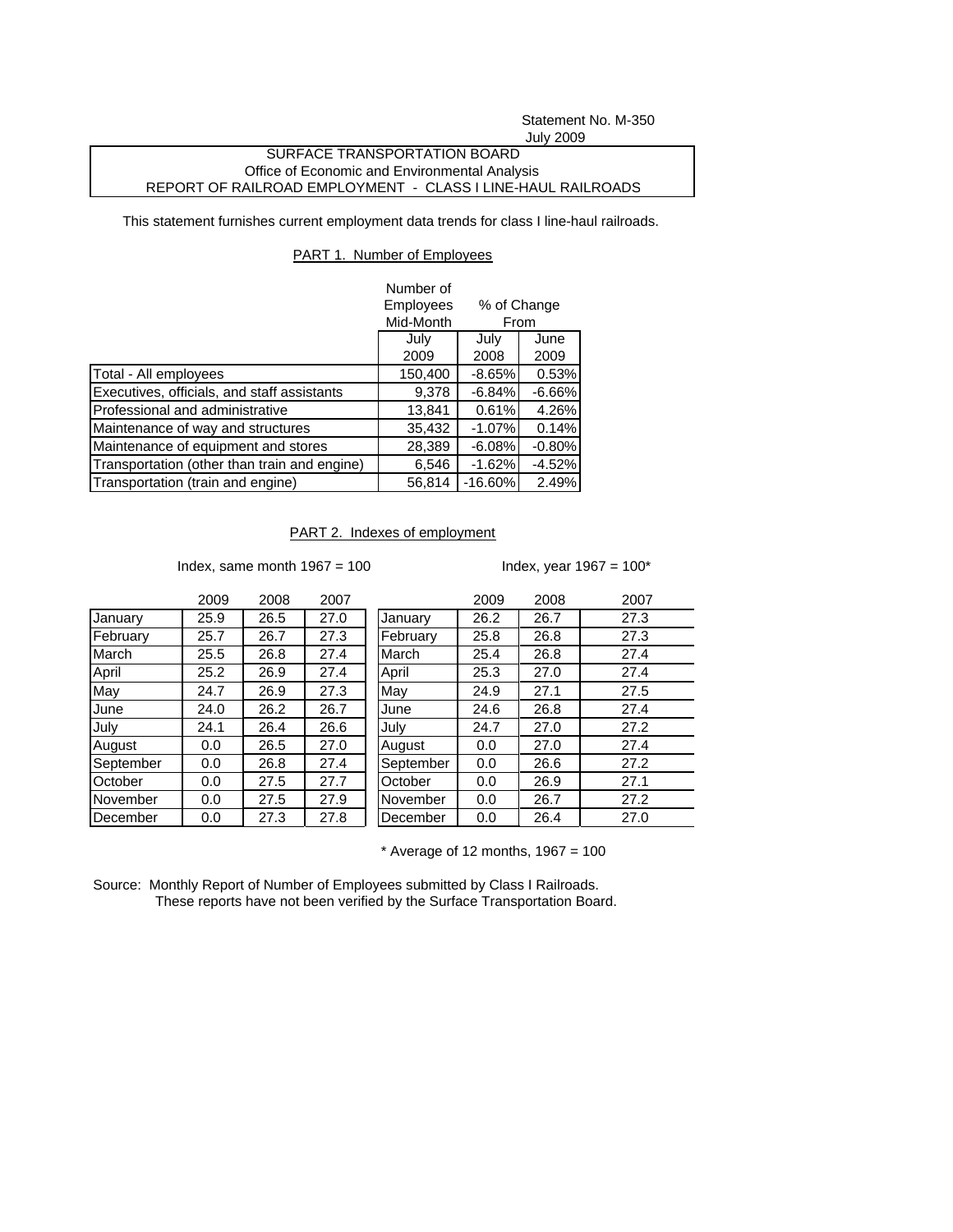Statement No. M-350 July 2009

## SURFACE TRANSPORTATION BOARD Office of Economic and Environmental Analysis REPORT OF RAILROAD EMPLOYMENT - CLASS I LINE-HAUL RAILROADS

This statement furnishes current employment data trends for class I line-haul railroads.

## PART 1. Number of Employees

|                                              | Number of              |                                     |          |  |
|----------------------------------------------|------------------------|-------------------------------------|----------|--|
|                                              | Employees<br>Mid-Month | % of Change<br>From<br>July<br>June |          |  |
|                                              | July                   |                                     |          |  |
|                                              | 2009                   | 2008                                | 2009     |  |
| Total - All employees                        | 150,400                | $-8.65%$                            | 0.53%    |  |
| Executives, officials, and staff assistants  | 9,378                  | $-6.84%$                            | $-6.66%$ |  |
| Professional and administrative              | 13,841                 | 0.61%                               | 4.26%    |  |
| Maintenance of way and structures            | 35,432                 | $-1.07%$                            | 0.14%    |  |
| Maintenance of equipment and stores          | 28,389                 | $-6.08%$                            | $-0.80%$ |  |
| Transportation (other than train and engine) | 6,546                  | $-1.62%$                            | $-4.52%$ |  |
| Transportation (train and engine)            | 56,814                 | $-16.60\%$                          | 2.49%    |  |

## PART 2. Indexes of employment

Index, same month  $1967 = 100$  Index, year  $1967 = 100*$ 

|           | 2009 | 2008 | 2007 |           | 2009 | 2008 | 2007 |
|-----------|------|------|------|-----------|------|------|------|
| January   | 25.9 | 26.5 | 27.0 | January   | 26.2 | 26.7 | 27.3 |
| February  | 25.7 | 26.7 | 27.3 | February  | 25.8 | 26.8 | 27.3 |
| March     | 25.5 | 26.8 | 27.4 | March     | 25.4 | 26.8 | 27.4 |
| April     | 25.2 | 26.9 | 27.4 | April     | 25.3 | 27.0 | 27.4 |
| May       | 24.7 | 26.9 | 27.3 | May       | 24.9 | 27.1 | 27.5 |
| June      | 24.0 | 26.2 | 26.7 | June      | 24.6 | 26.8 | 27.4 |
| July      | 24.1 | 26.4 | 26.6 | July      | 24.7 | 27.0 | 27.2 |
| August    | 0.0  | 26.5 | 27.0 | August    | 0.0  | 27.0 | 27.4 |
| September | 0.0  | 26.8 | 27.4 | September | 0.0  | 26.6 | 27.2 |
| October   | 0.0  | 27.5 | 27.7 | October   | 0.0  | 26.9 | 27.1 |
| November  | 0.0  | 27.5 | 27.9 | November  | 0.0  | 26.7 | 27.2 |
| December  | 0.0  | 27.3 | 27.8 | December  | 0.0  | 26.4 | 27.0 |

 $*$  Average of 12 months, 1967 = 100

Source: Monthly Report of Number of Employees submitted by Class I Railroads. These reports have not been verified by the Surface Transportation Board.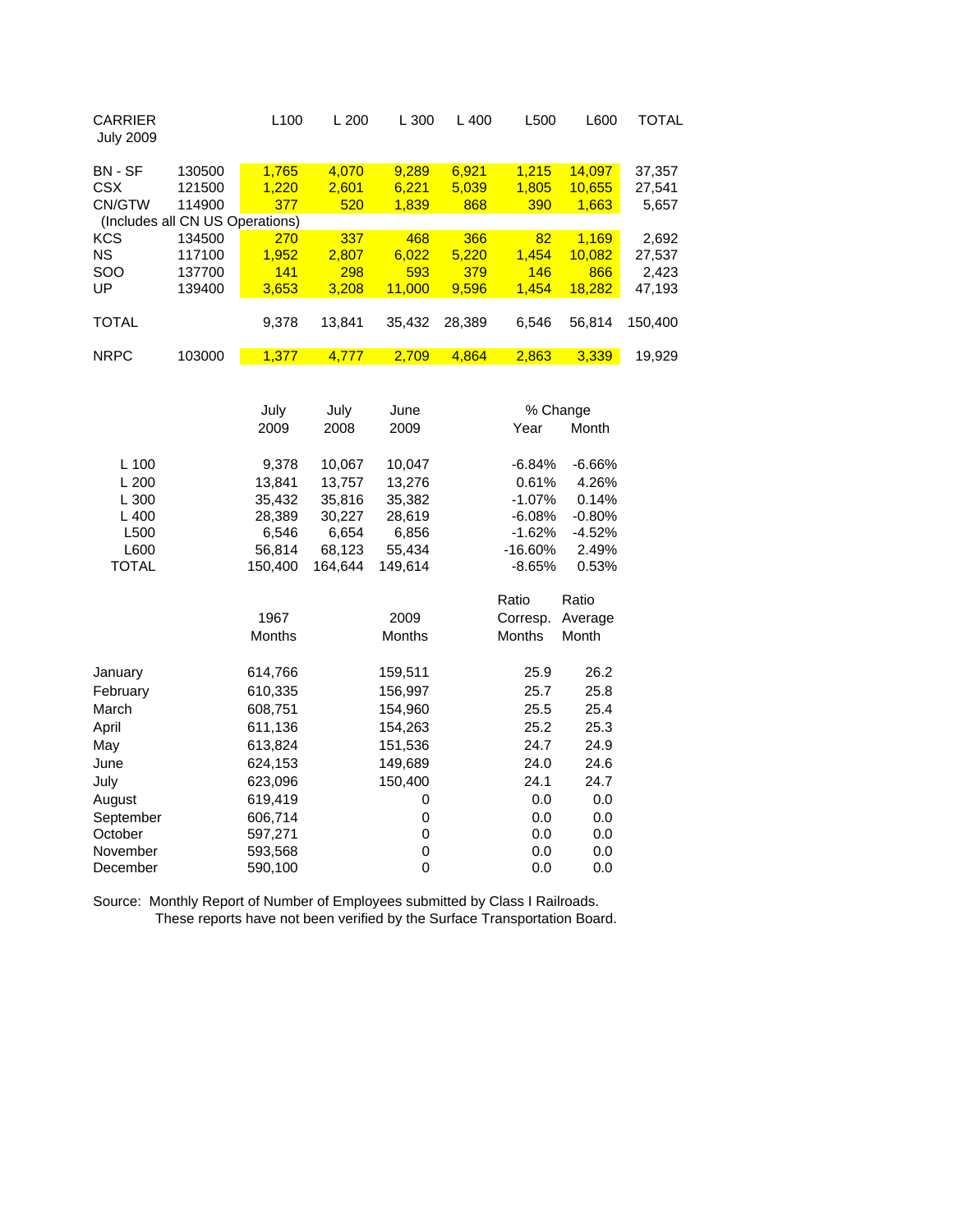| <b>CARRIER</b><br><b>July 2009</b> |        | L <sub>100</sub> | L200   | L300   | $L$ 400 | L500  | L600   | TOTAL   |
|------------------------------------|--------|------------------|--------|--------|---------|-------|--------|---------|
| BN - SF                            | 130500 | 1.765            | 4.070  | 9.289  | 6.921   | 1.215 | 14.097 | 37,357  |
| <b>CSX</b>                         | 121500 | 1.220            | 2,601  | 6.221  | 5,039   | 1.805 | 10.655 | 27,541  |
| CN/GTW                             | 114900 | 377              | 520    | 1.839  | 868     | 390   | 1,663  | 5,657   |
| (Includes all CN US Operations)    |        |                  |        |        |         |       |        |         |
| <b>KCS</b>                         | 134500 | 270              | 337    | 468    | 366     | 82    | 1.169  | 2,692   |
| <b>NS</b>                          | 117100 | 1.952            | 2.807  | 6.022  | 5.220   | 1.454 | 10.082 | 27.537  |
| <b>SOO</b>                         | 137700 | 141              | 298    | 593    | 379     | 146   | 866    | 2.423   |
| UP                                 | 139400 | 3,653            | 3.208  | 11.000 | 9.596   | 1.454 | 18.282 | 47,193  |
|                                    |        |                  |        |        |         |       |        |         |
| <b>TOTAL</b>                       |        | 9,378            | 13.841 | 35,432 | 28.389  | 6,546 | 56,814 | 150,400 |
|                                    |        |                  |        |        |         |       |        |         |
| <b>NRPC</b>                        | 103000 | 1,377            | 4,777  | 2,709  | 4,864   | 2,863 | 3,339  | 19,929  |
|                                    |        |                  |        |        |         |       |        |         |

|              | July          | July    | June          | % Change      |          |  |
|--------------|---------------|---------|---------------|---------------|----------|--|
|              | 2009          | 2008    | 2009          | Year          | Month    |  |
| L 100        | 9,378         | 10,067  | 10,047        | $-6.84%$      | $-6.66%$ |  |
| L200         | 13,841        | 13,757  | 13,276        | 0.61%         | 4.26%    |  |
| L 300        | 35,432        | 35,816  | 35,382        | $-1.07%$      | 0.14%    |  |
| L 400        | 28,389        | 30,227  | 28,619        | -6.08%        | $-0.80%$ |  |
| L500         | 6,546         | 6,654   | 6,856         | $-1.62%$      | $-4.52%$ |  |
| L600         | 56,814        | 68,123  | 55,434        | $-16.60%$     | 2.49%    |  |
| <b>TOTAL</b> | 150,400       | 164,644 | 149,614       | -8.65%        | 0.53%    |  |
|              |               |         |               | Ratio         | Ratio    |  |
|              | 1967          |         | 2009          | Corresp.      | Average  |  |
|              | <b>Months</b> |         | <b>Months</b> | <b>Months</b> | Month    |  |
| January      | 614,766       |         | 159,511       | 25.9          | 26.2     |  |
| February     | 610,335       |         | 156,997       | 25.7          | 25.8     |  |
| March        | 608,751       |         | 154,960       | 25.5          | 25.4     |  |
| April        | 611,136       |         | 154,263       | 25.2          | 25.3     |  |
| May          | 613,824       |         | 151,536       | 24.7          | 24.9     |  |
| June         | 624,153       |         | 149,689       | 24.0          | 24.6     |  |
| July         | 623,096       |         | 150,400       | 24.1          | 24.7     |  |
| August       | 619,419       |         | 0             | 0.0           | 0.0      |  |
| September    | 606,714       |         | 0             | 0.0           | 0.0      |  |
| October      | 597,271       |         | 0             | 0.0           | 0.0      |  |
| November     | 593,568       |         | 0             | 0.0           | 0.0      |  |
| December     | 590,100       |         | 0             | 0.0           | 0.0      |  |

Source: Monthly Report of Number of Employees submitted by Class I Railroads. These reports have not been verified by the Surface Transportation Board.